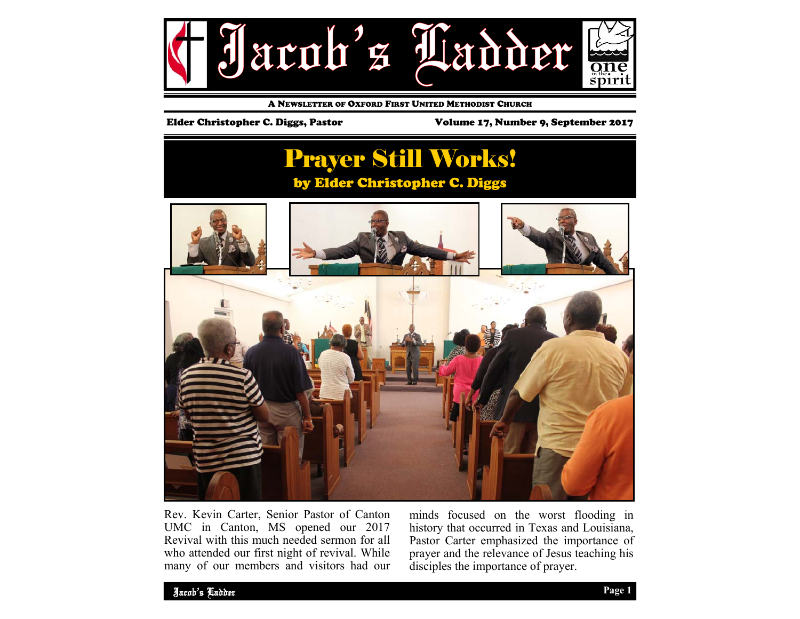

A NEWSLETTER OF OXFORD FIRST UNITED METHODIST CHURCH

Elder Christopher C. Diggs, Pastor Volume 17, Number 9, September 2017

# Prayer Still Works! by Elder Christopher C. Diggs



Rev. Kevin Carter, Senior Pastor of Canton UMC in Canton, MS opened our 2017 Revival with this much needed sermon for all who attended our first night of revival. While many of our members and visitors had our minds focused on the worst flooding in history that occurred in Texas and Louisiana, Pastor Carter emphasized the importance of prayer and the relevance of Jesus teaching his disciples the importance of prayer.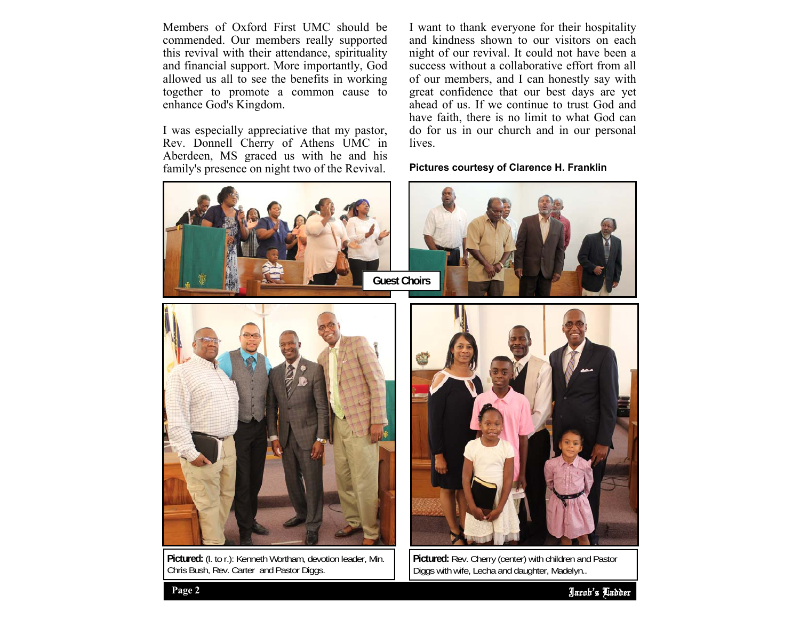Members of Oxford First UMC should be commended. Our members really supported this revival with their attendance, spirituality and financial support. More importantly, God allowed us all to see the benefits in working together to promote a common cause to enhance God's Kingdom.

I was especially appreciative that my pastor, Rev. Donnell Cherry of Athens UMC in Aberdeen, MS graced us with he and his family's presence on night two of the Revival.

I want to thank everyone for their hospitality and kindness shown to our visitors on each night of our revival. It could not have been a success without a collaborative effort from all of our members, and I can honestly say with great confidence that our best days are yet ahead of us. If we continue to trust God and have faith, there is no limit to what God can do for us in our church and in our personal lives.

### **Pictures courtesy of Clarence H. Franklin**



**Pictured:** (l. to r.): Kenneth Wortham, devotion leader, Min. Chris Bush, Rev. Carter and Pastor Diggs.

**Pictured:** Rev. Cherry (center) with children and Pastor Diggs with wife, Lecha and daughter, Madelyn..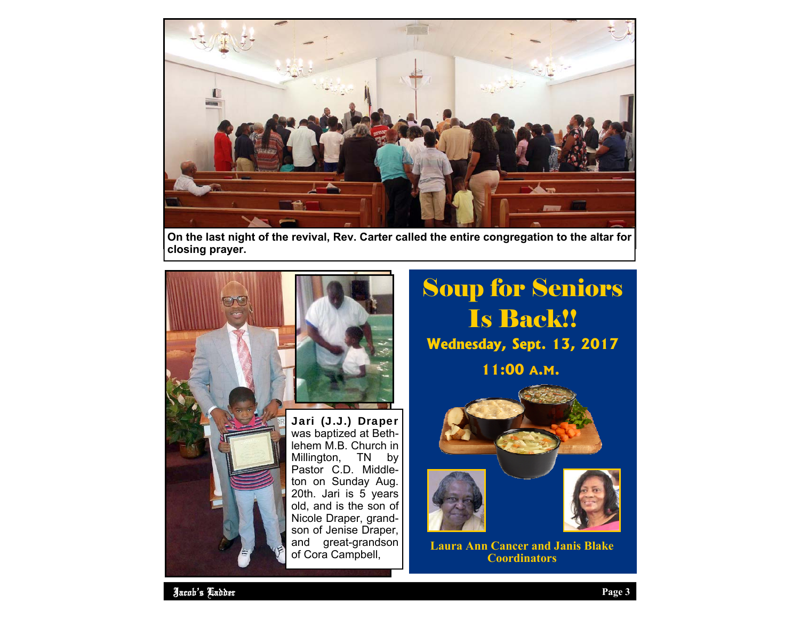

**On the last night of the revival, Rev. Carter called the entire congregation to the altar for closing prayer.** 



was baptized at Bethlehem M.B. Church in Millington, TN by Pastor C.D. Middleton on Sunday Aug. 20th. Jari is 5 years old, and is the son of Nicole Draper, grandson of Jenise Draper, and great-grandson of Cora Campbell,

# Soup for Seniors Is Back!! **Wednesday, Sept. 13, 2017**

**11:00 A.M.** 







**Laura Ann Cancer and Janis Blake Coordinators**